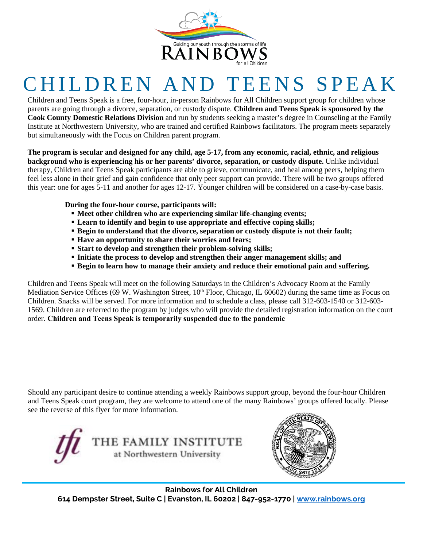

## CHILDREN AND TEENS SPEAK

Children and Teens Speak is a free, four-hour, in-person Rainbows for All Children support group for children whose parents are going through a divorce, separation, or custody dispute. **Children and Teens Speak is sponsored by the Cook County Domestic Relations Division** and run by students seeking a master's degree in Counseling at the Family Institute at Northwestern University, who are trained and certified Rainbows facilitators. The program meets separately but simultaneously with the Focus on Children parent program.

**The program is secular and designed for any child, age 5-17, from any economic, racial, ethnic, and religious background who is experiencing his or her parents' divorce, separation, or custody dispute.** Unlike individual therapy, Children and Teens Speak participants are able to grieve, communicate, and heal among peers, helping them feel less alone in their grief and gain confidence that only peer support can provide. There will be two groups offered this year: one for ages 5-11 and another for ages 12-17. Younger children will be considered on a case-by-case basis.

**During the four-hour course, participants will:**

- **Meet other children who are experiencing similar life-changing events;**
- **Learn to identify and begin to use appropriate and effective coping skills;**
- **Begin to understand that the divorce, separation or custody dispute is not their fault;**
- **Have an opportunity to share their worries and fears;**
- **Start to develop and strengthen their problem-solving skills;**
- **Initiate the process to develop and strengthen their anger management skills; and**
- **Begin to learn how to manage their anxiety and reduce their emotional pain and suffering.**

Children and Teens Speak will meet on the following Saturdays in the Children's Advocacy Room at the Family Mediation Service Offices (69 W. Washington Street, 10<sup>th</sup> Floor, Chicago, IL 60602) during the same time as Focus on Children. Snacks will be served. For more information and to schedule a class, please call 312-603-1540 or 312-603- 1569. Children are referred to the program by judges who will provide the detailed registration information on the court order. **Children and Teens Speak is temporarily suspended due to the pandemic**

Should any participant desire to continue attending a weekly Rainbows support group, beyond the four-hour Children and Teens Speak court program, they are welcome to attend one of the many Rainbows' groups offered locally. Please see the reverse of this flyer for more information.